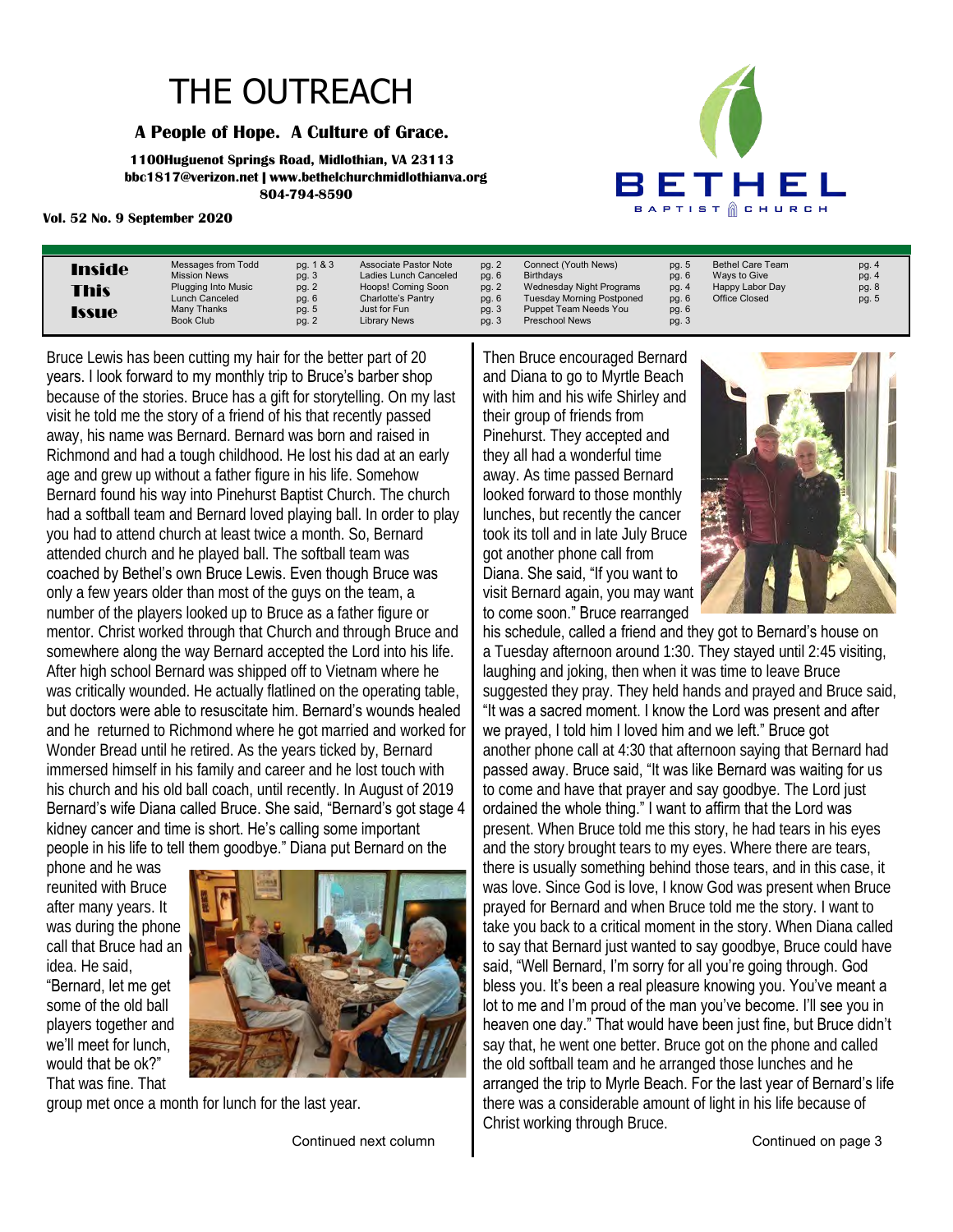## THE OUTREACH

### **A People of Hope. A Culture of Grace.**

**1100Huguenot Springs Road, Midlothian, VA 23113 bbc1817@verizon.net | www.bethelchurchmidlothianva.org 804-794-8590**

### **Vol. 52 No. 9 September 2020**



| Messages from Todd<br><b>Inside</b><br><b>Mission News</b><br><b>Plugging Into Music</b><br><b>This</b><br>Lunch Canceled<br>Many Thanks<br><b>Issue</b><br>Book Club | pg. 1 & 3<br>pg. 3<br>pg. 2<br>pg. 6<br>pg. 5<br>pg. 2 | Associate Pastor Note<br>Ladies Lunch Canceled<br>Hoops! Coming Soon<br>Charlotte's Pantry<br>Just for Fun<br><b>Library News</b> | pg. 2<br>pg. 6<br>pg. 2<br>pg. 6<br>pg. 3<br>pg. $3$ | Connect (Youth News)<br><b>Birthdavs</b><br>Wednesday Night Programs<br><b>Tuesday Morning Postponed</b><br>Puppet Team Needs You<br><b>Preschool News</b> | pg. 5<br>pg. 6<br>pg. 4<br>pg. 6<br>pg. 6<br>pg. 3 | <b>Bethel Care Team</b><br>Ways to Give<br>Happy Labor Day<br>Office Closed | pg. 4<br>pg. 4<br>pg. 8<br>pg. 5 |
|-----------------------------------------------------------------------------------------------------------------------------------------------------------------------|--------------------------------------------------------|-----------------------------------------------------------------------------------------------------------------------------------|------------------------------------------------------|------------------------------------------------------------------------------------------------------------------------------------------------------------|----------------------------------------------------|-----------------------------------------------------------------------------|----------------------------------|
|-----------------------------------------------------------------------------------------------------------------------------------------------------------------------|--------------------------------------------------------|-----------------------------------------------------------------------------------------------------------------------------------|------------------------------------------------------|------------------------------------------------------------------------------------------------------------------------------------------------------------|----------------------------------------------------|-----------------------------------------------------------------------------|----------------------------------|

Bruce Lewis has been cutting my hair for the better part of 20 years. I look forward to my monthly trip to Bruce's barber shop because of the stories. Bruce has a gift for storytelling. On my last visit he told me the story of a friend of his that recently passed away, his name was Bernard. Bernard was born and raised in Richmond and had a tough childhood. He lost his dad at an early age and grew up without a father figure in his life. Somehow Bernard found his way into Pinehurst Baptist Church. The church had a softball team and Bernard loved playing ball. In order to play you had to attend church at least twice a month. So, Bernard attended church and he played ball. The softball team was coached by Bethel's own Bruce Lewis. Even though Bruce was only a few years older than most of the guys on the team, a number of the players looked up to Bruce as a father figure or mentor. Christ worked through that Church and through Bruce and somewhere along the way Bernard accepted the Lord into his life. After high school Bernard was shipped off to Vietnam where he was critically wounded. He actually flatlined on the operating table, but doctors were able to resuscitate him. Bernard's wounds healed and he returned to Richmond where he got married and worked for Wonder Bread until he retired. As the years ticked by, Bernard immersed himself in his family and career and he lost touch with his church and his old ball coach, until recently. In August of 2019 Bernard's wife Diana called Bruce. She said, "Bernard's got stage 4 kidney cancer and time is short. He's calling some important people in his life to tell them goodbye." Diana put Bernard on the

phone and he was reunited with Bruce after many years. It was during the phone call that Bruce had an idea. He said,

"Bernard, let me get some of the old ball players together and we'll meet for lunch, would that be ok?" That was fine. That



group met once a month for lunch for the last year.

Continued next column

Then Bruce encouraged Bernard and Diana to go to Myrtle Beach with him and his wife Shirley and their group of friends from Pinehurst. They accepted and they all had a wonderful time away. As time passed Bernard looked forward to those monthly lunches, but recently the cancer took its toll and in late July Bruce got another phone call from Diana. She said, "If you want to visit Bernard again, you may want to come soon." Bruce rearranged



his schedule, called a friend and they got to Bernard's house on a Tuesday afternoon around 1:30. They stayed until 2:45 visiting, laughing and joking, then when it was time to leave Bruce suggested they pray. They held hands and prayed and Bruce said, "It was a sacred moment. I know the Lord was present and after we prayed, I told him I loved him and we left." Bruce got another phone call at 4:30 that afternoon saying that Bernard had passed away. Bruce said, "It was like Bernard was waiting for us to come and have that prayer and say goodbye. The Lord just ordained the whole thing." I want to affirm that the Lord was present. When Bruce told me this story, he had tears in his eyes and the story brought tears to my eyes. Where there are tears, there is usually something behind those tears, and in this case, it was love. Since God is love, I know God was present when Bruce prayed for Bernard and when Bruce told me the story. I want to take you back to a critical moment in the story. When Diana called to say that Bernard just wanted to say goodbye, Bruce could have said, "Well Bernard, I'm sorry for all you're going through. God bless you. It's been a real pleasure knowing you. You've meant a lot to me and I'm proud of the man you've become. I'll see you in heaven one day." That would have been just fine, but Bruce didn't say that, he went one better. Bruce got on the phone and called the old softball team and he arranged those lunches and he arranged the trip to Myrle Beach. For the last year of Bernard's life there was a considerable amount of light in his life because of Christ working through Bruce.

Continued on page 3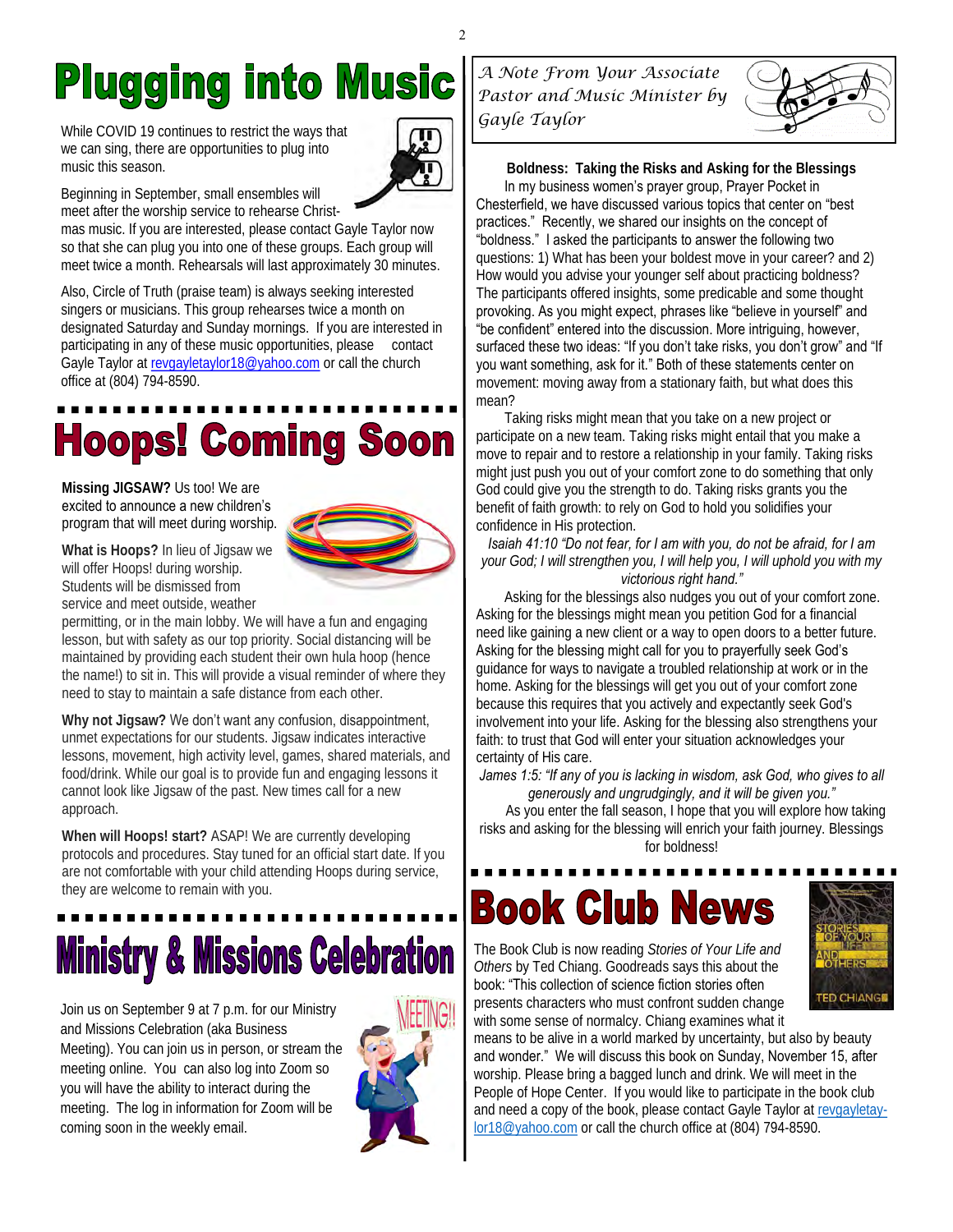## **Plugging into Music**

While COVID 19 continues to restrict the ways that we can sing, there are opportunities to plug into music this season.



Beginning in September, small ensembles will meet after the worship service to rehearse Christ-

mas music. If you are interested, please contact Gayle Taylor now so that she can plug you into one of these groups. Each group will meet twice a month. Rehearsals will last approximately 30 minutes.

Also, Circle of Truth (praise team) is always seeking interested singers or musicians. This group rehearses twice a month on designated Saturday and Sunday mornings. If you are interested in participating in any of these music opportunities, please contact Gayle Taylor at [revgayletaylor18@yahoo.com](mailto:revgayletaylor18@yahoo.com) or call the church office at (804) 794-8590.

# **Hoops! Coming Soon**

**Missing JIGSAW?** Us too! We are excited to announce a new children's program that will meet during worship.



**What is Hoops?** In lieu of Jigsaw we will offer Hoops! during worship. Students will be dismissed from service and meet outside, weather

permitting, or in the main lobby. We will have a fun and engaging lesson, but with safety as our top priority. Social distancing will be maintained by providing each student their own hula hoop (hence the name!) to sit in. This will provide a visual reminder of where they need to stay to maintain a safe distance from each other.

**Why not Jigsaw?** We don't want any confusion, disappointment, unmet expectations for our students. Jigsaw indicates interactive lessons, movement, high activity level, games, shared materials, and food/drink. While our goal is to provide fun and engaging lessons it cannot look like Jigsaw of the past. New times call for a new approach.

**When will Hoops! start?** ASAP! We are currently developing protocols and procedures. Stay tuned for an official start date. If you are not comfortable with your child attending Hoops during service, they are welcome to remain with you.

# **Ministry & Missions Celebration**

Join us on September 9 at 7 p.m. for our Ministry and Missions Celebration (aka Business Meeting). You can join us in person, or stream the meeting online. You can also log into Zoom so you will have the ability to interact during the meeting. The log in information for Zoom will be coming soon in the weekly email.



*A Note From Your Associate Pastor and Music Minister by Gayle Taylor* 



**Boldness: Taking the Risks and Asking for the Blessings** In my business women's prayer group, Prayer Pocket in Chesterfield, we have discussed various topics that center on "best practices." Recently, we shared our insights on the concept of "boldness." I asked the participants to answer the following two questions: 1) What has been your boldest move in your career? and 2) How would you advise your younger self about practicing boldness? The participants offered insights, some predicable and some thought provoking. As you might expect, phrases like "believe in yourself" and "be confident" entered into the discussion. More intriguing, however, surfaced these two ideas: "If you don't take risks, you don't grow" and "If you want something, ask for it." Both of these statements center on movement: moving away from a stationary faith, but what does this mean?

 Taking risks might mean that you take on a new project or participate on a new team. Taking risks might entail that you make a move to repair and to restore a relationship in your family. Taking risks might just push you out of your comfort zone to do something that only God could give you the strength to do. Taking risks grants you the benefit of faith growth: to rely on God to hold you solidifies your confidence in His protection.

*Isaiah 41:10 "Do not fear, for I am with you, do not be afraid, for I am your God; I will strengthen you, I will help you, I will uphold you with my victorious right hand."*

 Asking for the blessings also nudges you out of your comfort zone. Asking for the blessings might mean you petition God for a financial need like gaining a new client or a way to open doors to a better future. Asking for the blessing might call for you to prayerfully seek God's guidance for ways to navigate a troubled relationship at work or in the home. Asking for the blessings will get you out of your comfort zone because this requires that you actively and expectantly seek God's involvement into your life. Asking for the blessing also strengthens your faith: to trust that God will enter your situation acknowledges your certainty of His care.

James 1:5: "If any of you is lacking in wisdom, ask God, who gives to all *generously and ungrudgingly, and it will be given you."*

As you enter the fall season, I hope that you will explore how taking risks and asking for the blessing will enrich your faith journey. Blessings for boldness!

## **Book Club News**

The Book Club is now reading *Stories of Your Life and Others* by Ted Chiang. Goodreads says this about the book: "This collection of science fiction stories often



presents characters who must confront sudden change with some sense of normalcy. Chiang examines what it

means to be alive in a world marked by uncertainty, but also by beauty and wonder." We will discuss this book on Sunday, November 15, after worship. Please bring a bagged lunch and drink. We will meet in the People of Hope Center. If you would like to participate in the book club and need a copy of the book, please contact Gayle Taylor at [revgayletay](mailto:revgayletaylor18@yahoo.com)[lor18@yahoo.com](mailto:revgayletaylor18@yahoo.com) or call the church office at (804) 794-8590.

 $\mathfrak{D}$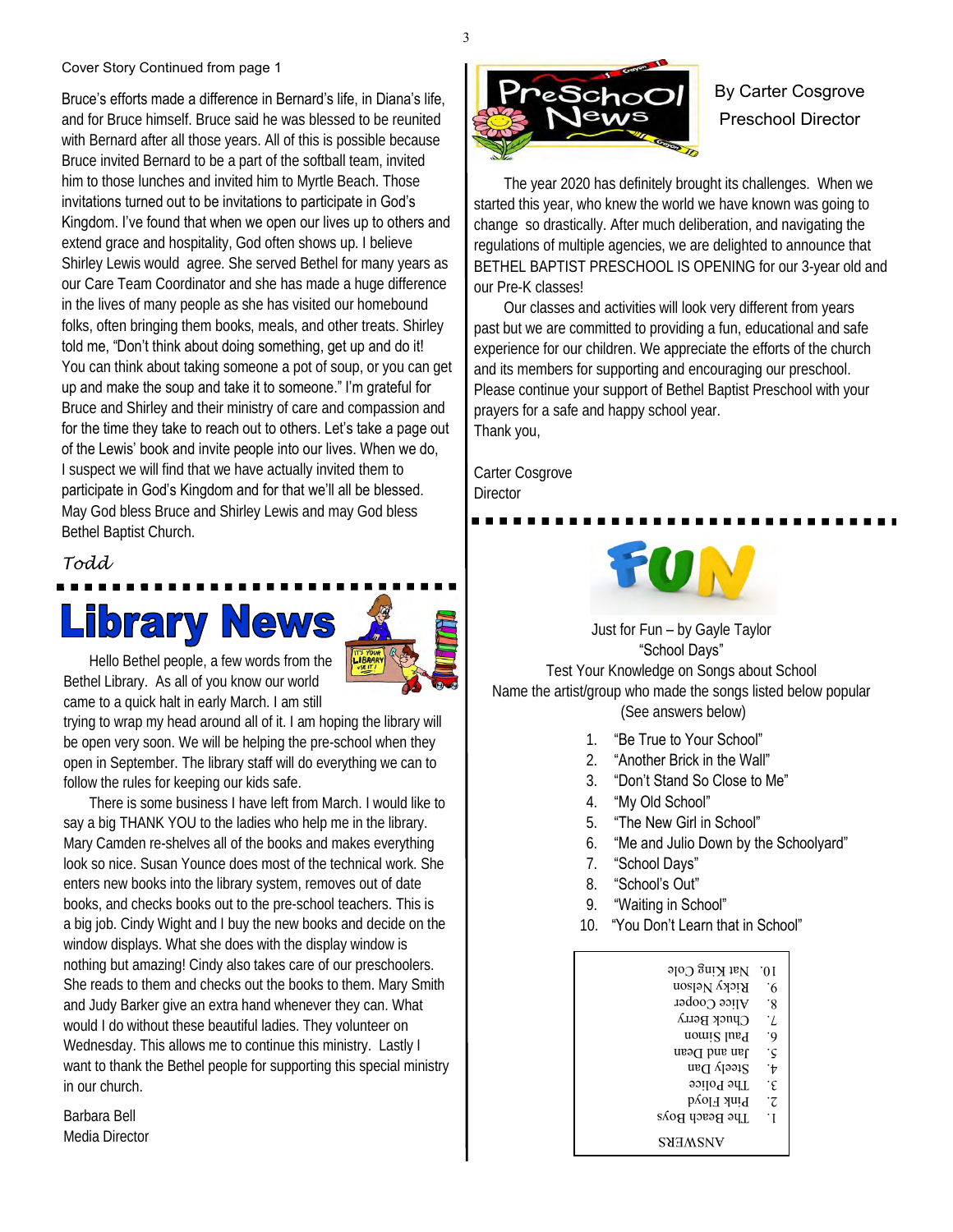### Cover Story Continued from page 1

Bruce's efforts made a difference in Bernard's life, in Diana's life, and for Bruce himself. Bruce said he was blessed to be reunited with Bernard after all those years. All of this is possible because Bruce invited Bernard to be a part of the softball team, invited him to those lunches and invited him to Myrtle Beach. Those invitations turned out to be invitations to participate in God's Kingdom. I've found that when we open our lives up to others and extend grace and hospitality, God often shows up. I believe Shirley Lewis would agree. She served Bethel for many years as our Care Team Coordinator and she has made a huge difference in the lives of many people as she has visited our homebound folks, often bringing them books, meals, and other treats. Shirley told me, "Don't think about doing something, get up and do it! You can think about taking someone a pot of soup, or you can get up and make the soup and take it to someone." I'm grateful for Bruce and Shirley and their ministry of care and compassion and for the time they take to reach out to others. Let's take a page out of the Lewis' book and invite people into our lives. When we do, I suspect we will find that we have actually invited them to participate in God's Kingdom and for that we'll all be blessed. May God bless Bruce and Shirley Lewis and may God bless Bethel Baptist Church.

### *Todd*





 Hello Bethel people, a few words from the Bethel Library. As all of you know our world came to a quick halt in early March. I am still

trying to wrap my head around all of it. I am hoping the library will be open very soon. We will be helping the pre-school when they open in September. The library staff will do everything we can to follow the rules for keeping our kids safe.

 There is some business I have left from March. I would like to say a big THANK YOU to the ladies who help me in the library. Mary Camden re-shelves all of the books and makes everything look so nice. Susan Younce does most of the technical work. She enters new books into the library system, removes out of date books, and checks books out to the pre-school teachers. This is a big job. Cindy Wight and I buy the new books and decide on the window displays. What she does with the display window is nothing but amazing! Cindy also takes care of our preschoolers. She reads to them and checks out the books to them. Mary Smith and Judy Barker give an extra hand whenever they can. What would I do without these beautiful ladies. They volunteer on Wednesday. This allows me to continue this ministry. Lastly I want to thank the Bethel people for supporting this special ministry in our church.

Barbara Bell Media Director



### By Carter Cosgrove Preschool Director

 The year 2020 has definitely brought its challenges. When we started this year, who knew the world we have known was going to change so drastically. After much deliberation, and navigating the regulations of multiple agencies, we are delighted to announce that BETHEL BAPTIST PRESCHOOL IS OPENING for our 3-year old and our Pre-K classes!

 Our classes and activities will look very different from years past but we are committed to providing a fun, educational and safe experience for our children. We appreciate the efforts of the church and its members for supporting and encouraging our preschool. Please continue your support of Bethel Baptist Preschool with your prayers for a safe and happy school year. Thank you,

Carter Cosgrove **Director** 



Just for Fun – by Gayle Taylor "School Days"

Test Your Knowledge on Songs about School Name the artist/group who made the songs listed below popular (See answers below)

- 1. "Be True to Your School"
- 2. "Another Brick in the Wall"
- 3. "Don't Stand So Close to Me"
- 4. "My Old School"
- 5. "The New Girl in School"
- 6. "Me and Julio Down by the Schoolyard"
- 7. "School Days"
- 8. "School's Out"
- 9. "Waiting in School"
- 10. "You Don't Learn that in School"

| $N$ at King Cole | .01        |
|------------------|------------|
| Ricky Nelson     | ۰6         |
| Alice Cooper     | ۰g         |
| Chuck Berry      | $\cdot$ /. |
| nomi2 lusq       | ۰9         |
| Jan and Dean     | ۰ç         |
| Steely Dan       | ۰ŧ         |
| The Police       | ۰£         |
| Pink Floyd       | ۰Z         |
| The Beach Boys   | ٠I         |
| ANSWERS          |            |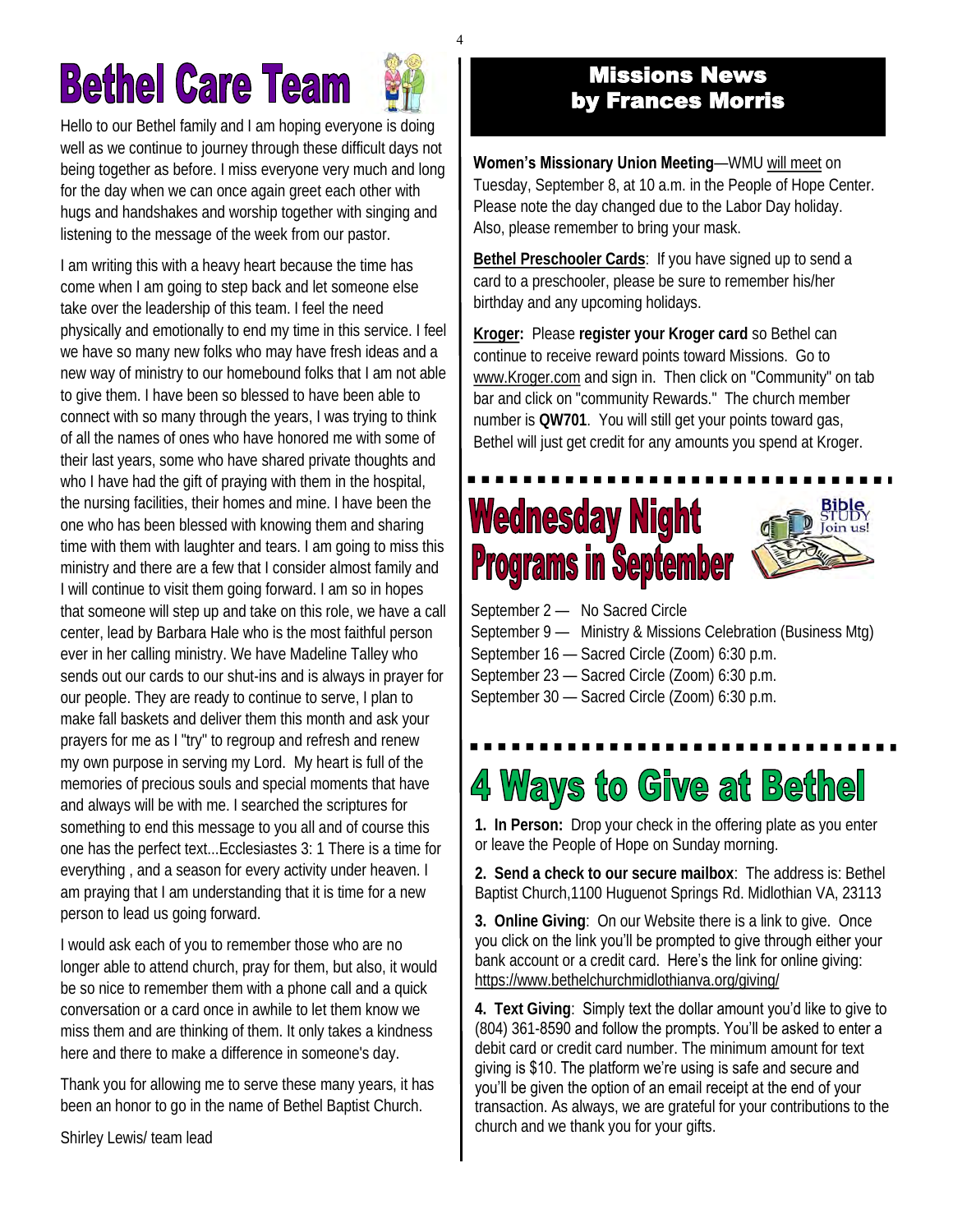# **Bethel Care Team**



4

Hello to our Bethel family and I am hoping everyone is doing well as we continue to journey through these difficult days not being together as before. I miss everyone very much and long for the day when we can once again greet each other with hugs and handshakes and worship together with singing and listening to the message of the week from our pastor.

I am writing this with a heavy heart because the time has come when I am going to step back and let someone else take over the leadership of this team. I feel the need physically and emotionally to end my time in this service. I feel we have so many new folks who may have fresh ideas and a new way of ministry to our homebound folks that I am not able to give them. I have been so blessed to have been able to connect with so many through the years, I was trying to think of all the names of ones who have honored me with some of their last years, some who have shared private thoughts and who I have had the gift of praying with them in the hospital, the nursing facilities, their homes and mine. I have been the one who has been blessed with knowing them and sharing time with them with laughter and tears. I am going to miss this ministry and there are a few that I consider almost family and I will continue to visit them going forward. I am so in hopes that someone will step up and take on this role, we have a call center, lead by Barbara Hale who is the most faithful person ever in her calling ministry. We have Madeline Talley who sends out our cards to our shut-ins and is always in prayer for our people. They are ready to continue to serve, I plan to make fall baskets and deliver them this month and ask your prayers for me as I "try" to regroup and refresh and renew my own purpose in serving my Lord. My heart is full of the memories of precious souls and special moments that have and always will be with me. I searched the scriptures for something to end this message to you all and of course this one has the perfect text...Ecclesiastes 3: 1 There is a time for everything , and a season for every activity under heaven. I am praying that I am understanding that it is time for a new person to lead us going forward.

I would ask each of you to remember those who are no longer able to attend church, pray for them, but also, it would be so nice to remember them with a phone call and a quick conversation or a card once in awhile to let them know we miss them and are thinking of them. It only takes a kindness here and there to make a difference in someone's day.

Thank you for allowing me to serve these many years, it has been an honor to go in the name of Bethel Baptist Church.

Shirley Lewis/ team lead

### Missions News by Frances Morris

**Women's Missionary Union Meeting**—WMU will meet on Tuesday, September 8, at 10 a.m. in the People of Hope Center. Please note the day changed due to the Labor Day holiday. Also, please remember to bring your mask.

**Bethel Preschooler Cards**: If you have signed up to send a card to a preschooler, please be sure to remember his/her birthday and any upcoming holidays.

**Kroger:** Please **register your Kroger card** so Bethel can continue to receive reward points toward Missions. Go to [www.Kroger.com](http://bbc1817.us7.list-manage2.com/track/click?u=24adf057605a86e21a1434386&id=d07875dae2&e=0acac2e3d0) and sign in. Then click on "Community" on tab bar and click on "community Rewards." The church member number is **QW701**. You will still get your points toward gas, Bethel will just get credit for any amounts you spend at Kroger.

## **Wednesday Night Programs in September**



September 2 - No Sacred Circle September 9 — Ministry & Missions Celebration (Business Mtg) September 16 — Sacred Circle (Zoom) 6:30 p.m.

September 23 — Sacred Circle (Zoom) 6:30 p.m.

September 30 — Sacred Circle (Zoom) 6:30 p.m.

## 4 Ways to Give at Bethel

**1. In Person:** Drop your check in the offering plate as you enter or leave the People of Hope on Sunday morning.

**2. Send a check to our secure mailbox**: The address is: Bethel Baptist Church,1100 Huguenot Springs Rd. Midlothian VA, 23113

**3. Online Giving**: On our Website there is a link to give. Once you click on the link you'll be prompted to give through either your bank account or a credit card. Here's the link for online giving: [https://www.bethelchurchmidlothianva.org/giving/](https://bbc1817.us7.list-manage.com/track/click?u=24adf057605a86e21a1434386&id=398748ca63&e=0acac2e3d0)

**4. Text Giving**: Simply text the dollar amount you'd like to give to (804) 361-8590 and follow the prompts. You'll be asked to enter a debit card or credit card number. The minimum amount for text giving is \$10. The platform we're using is safe and secure and you'll be given the option of an email receipt at the end of your transaction. As always, we are grateful for your contributions to the church and we thank you for your gifts.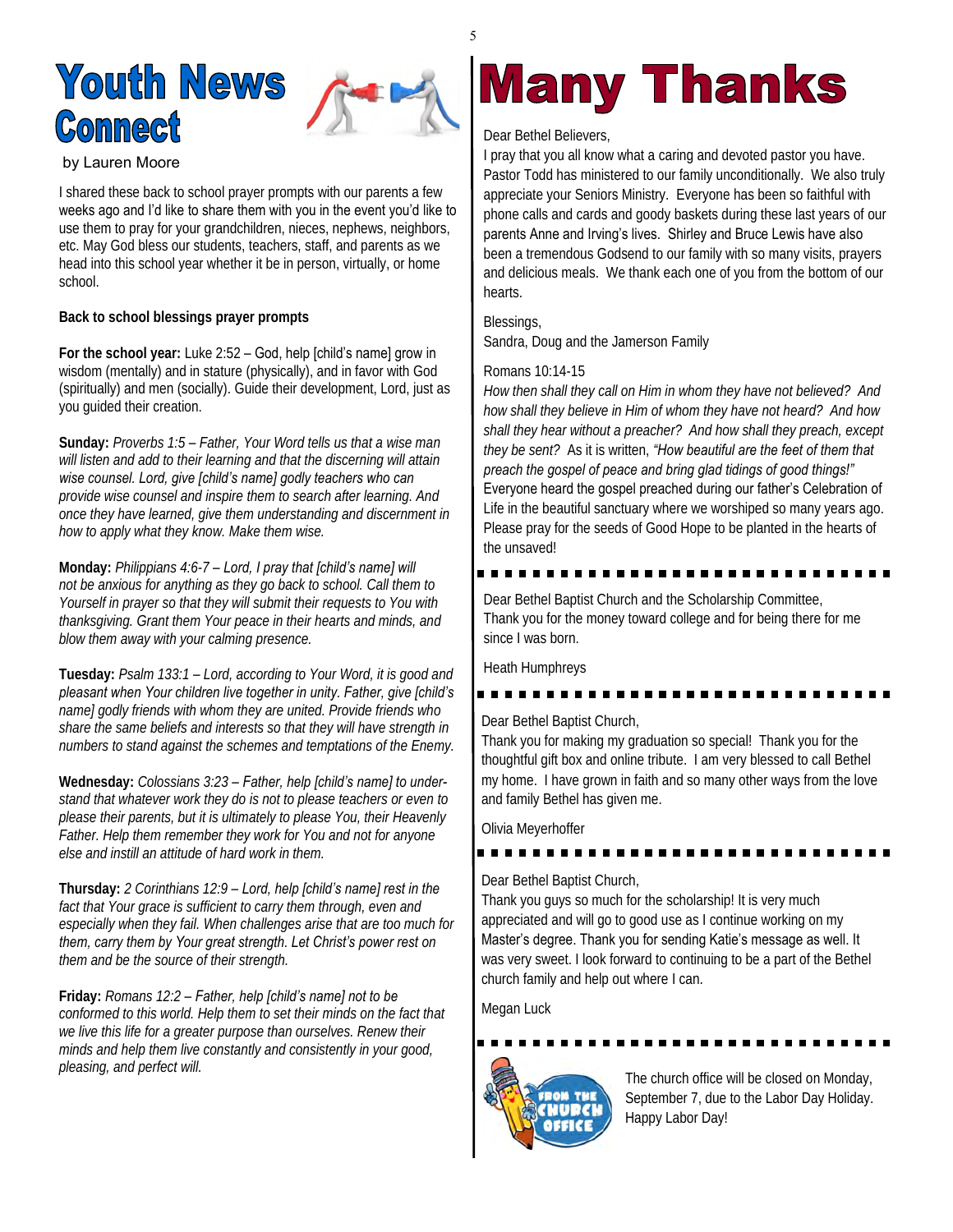## **Youth News Connect**



by Lauren Moore

I shared these back to school prayer prompts with our parents a few weeks ago and I'd like to share them with you in the event you'd like to use them to pray for your grandchildren, nieces, nephews, neighbors, etc. May God bless our students, teachers, staff, and parents as we head into this school year whether it be in person, virtually, or home school.

**Back to school blessings prayer prompts**

**For the school year:** Luke 2:52 – God, help [child's name] grow in wisdom (mentally) and in stature (physically), and in favor with God (spiritually) and men (socially). Guide their development, Lord, just as you guided their creation.

**Sunday:** *Proverbs 1:5 – Father, Your Word tells us that a wise man will listen and add to their learning and that the discerning will attain wise counsel. Lord, give [child's name] godly teachers who can provide wise counsel and inspire them to search after learning. And once they have learned, give them understanding and discernment in how to apply what they know. Make them wise.*

**Monday:** *Philippians 4:6-7 – Lord, I pray that [child's name] will not be anxious for anything as they go back to school. Call them to Yourself in prayer so that they will submit their requests to You with thanksgiving. Grant them Your peace in their hearts and minds, and blow them away with your calming presence.*

**Tuesday:** *Psalm 133:1 – Lord, according to Your Word, it is good and pleasant when Your children live together in unity. Father, give [child's name] godly friends with whom they are united. Provide friends who share the same beliefs and interests so that they will have strength in numbers to stand against the schemes and temptations of the Enemy.*

**Wednesday:** *Colossians 3:23 – Father, help [child's name] to understand that whatever work they do is not to please teachers or even to please their parents, but it is ultimately to please You, their Heavenly Father. Help them remember they work for You and not for anyone else and instill an attitude of hard work in them.*

**Thursday:** *2 Corinthians 12:9 – Lord, help [child's name] rest in the fact that Your grace is sufficient to carry them through, even and especially when they fail. When challenges arise that are too much for them, carry them by Your great strength. Let Christ's power rest on them and be the source of their strength.*

**Friday:** *Romans 12:2 – Father, help [child's name] not to be conformed to this world. Help them to set their minds on the fact that we live this life for a greater purpose than ourselves. Renew their minds and help them live constantly and consistently in your good, pleasing, and perfect will.*

## **Many Thanks**

Dear Bethel Believers,

5

I pray that you all know what a caring and devoted pastor you have. Pastor Todd has ministered to our family unconditionally. We also truly appreciate your Seniors Ministry. Everyone has been so faithful with phone calls and cards and goody baskets during these last years of our parents Anne and Irving's lives. Shirley and Bruce Lewis have also been a tremendous Godsend to our family with so many visits, prayers and delicious meals. We thank each one of you from the bottom of our hearts.

Blessings, Sandra, Doug and the Jamerson Family

### Romans 10:14-15

*How then shall they call on Him in whom they have not believed? And how shall they believe in Him of whom they have not heard? And how shall they hear without a preacher? And how shall they preach, except they be sent?* As it is written, *"How beautiful are the feet of them that preach the gospel of peace and bring glad tidings of good things!"*  Everyone heard the gospel preached during our father's Celebration of Life in the beautiful sanctuary where we worshiped so many years ago. Please pray for the seeds of Good Hope to be planted in the hearts of the unsaved!

Dear Bethel Baptist Church and the Scholarship Committee, Thank you for the money toward college and for being there for me since I was born.

Heath Humphreys

### Dear Bethel Baptist Church,

Thank you for making my graduation so special! Thank you for the thoughtful gift box and online tribute. I am very blessed to call Bethel my home. I have grown in faith and so many other ways from the love and family Bethel has given me.

### Olivia Meyerhoffer

### Dear Bethel Baptist Church,

Thank you guys so much for the scholarship! It is very much appreciated and will go to good use as I continue working on my Master's degree. Thank you for sending Katie's message as well. It was very sweet. I look forward to continuing to be a part of the Bethel church family and help out where I can.

Megan Luck



The church office will be closed on Monday, September 7, due to the Labor Day Holiday. Happy Labor Day!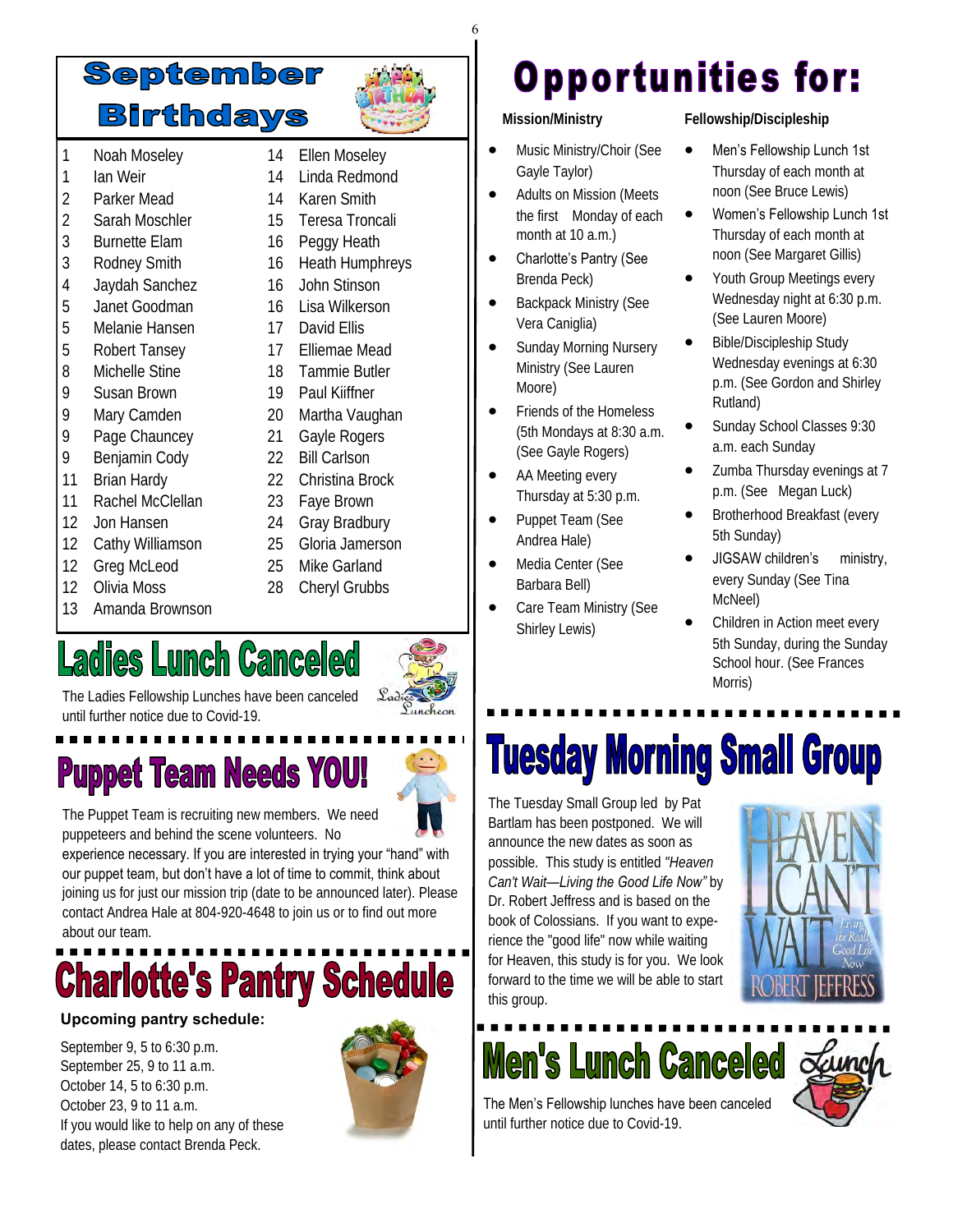## September **Birthdays**

14 Ellen Moseley 14 Linda Redmond 14 Karen Smith 15 Teresa Troncali 16 Peggy Heath 16 Heath Humphreys 16 John Stinson 16 Lisa Wilkerson 17 David Filis 17 Elliemae Mead 18 Tammie Butler 19 Paul Kiiffner 20 Martha Vaughan 21 Gayle Rogers 22 Bill Carlson 22 Christina Brock 23 Faye Brown 24 Gray Bradbury 25 Gloria Jamerson 25 Mike Garland 28 Cheryl Grubbs

- 1 Noah Moseley
- 1 Ian Weir
- 2 Parker Mead
- 2 Sarah Moschler
- 3 Burnette Elam
- 3 Rodney Smith
- 4 Jaydah Sanchez
- 5 Janet Goodman
- 5 Melanie Hansen
- 5 Robert Tansey
- 8 Michelle Stine
- 9 Susan Brown
- 9 Mary Camden
- 9 Page Chauncey
- 9 Benjamin Cody
- 11 Brian Hardy
- 11 Rachel McClellan
- 12 Jon Hansen
- 12 Cathy Williamson
- 12 Greg McLeod
- 12 Olivia Moss
- 13 Amanda Brownson

## **Ladies Lunch Canceled**



The Ladies Fellowship Lunches have been canceled until further notice due to Covid-19.

# **Puppet Team Needs YOU!**



The Puppet Team is recruiting new members. We need puppeteers and behind the scene volunteers. No

experience necessary. If you are interested in trying your "hand" with our puppet team, but don't have a lot of time to commit, think about joining us for just our mission trip (date to be announced later). Please contact Andrea Hale at 804-920-4648 to join us or to find out more about our team.

# **Charlotte's Pantry Schedule**

### **Upcoming pantry schedule:**

September 9, 5 to 6:30 p.m. September 25, 9 to 11 a.m. October 14, 5 to 6:30 p.m. October 23, 9 to 11 a.m. If you would like to help on any of these dates, please contact Brenda Peck.



## **Opportunities for:**

 **Mission/Ministry**

6

- Music Ministry/Choir (See Gayle Taylor)
- Adults on Mission (Meets the first Monday of each month at 10 a.m.)
- Charlotte's Pantry (See Brenda Peck)
- Backpack Ministry (See Vera Caniglia)
- Sunday Morning Nursery Ministry (See Lauren Moore)
- Friends of the Homeless (5th Mondays at 8:30 a.m. (See Gayle Rogers)
- AA Meeting every Thursday at 5:30 p.m.
- Puppet Team (See Andrea Hale)
- Media Center (See Barbara Bell)
- Care Team Ministry (See Shirley Lewis)

**Fellowship/Discipleship**

- Men's Fellowship Lunch 1st Thursday of each month at noon (See Bruce Lewis)
- Women's Fellowship Lunch 1st Thursday of each month at noon (See Margaret Gillis)
- Youth Group Meetings every Wednesday night at 6:30 p.m. (See Lauren Moore)
- Bible/Discipleship Study Wednesday evenings at 6:30 p.m. (See Gordon and Shirley Rutland)
- Sunday School Classes 9:30 a.m. each Sunday
- Zumba Thursday evenings at 7 p.m. (See Megan Luck)
- Brotherhood Breakfast (every 5th Sunday)
- JIGSAW children's ministry, every Sunday (See Tina McNeel)
- Children in Action meet every 5th Sunday, during the Sunday School hour. (See Frances Morris)

# **Tuesday Morning Small Group**

The Tuesday Small Group led by Pat Bartlam has been postponed. We will announce the new dates as soon as possible. This study is entitled *"Heaven Can't Wait—Living the Good Life Now"* by Dr. Robert Jeffress and is based on the book of Colossians. If you want to experience the "good life" now while waiting for Heaven, this study is for you. We look forward to the time we will be able to start this group.



**Men's Lunch Canceled Lanch** 



The Men's Fellowship lunches have been canceled until further notice due to Covid-19.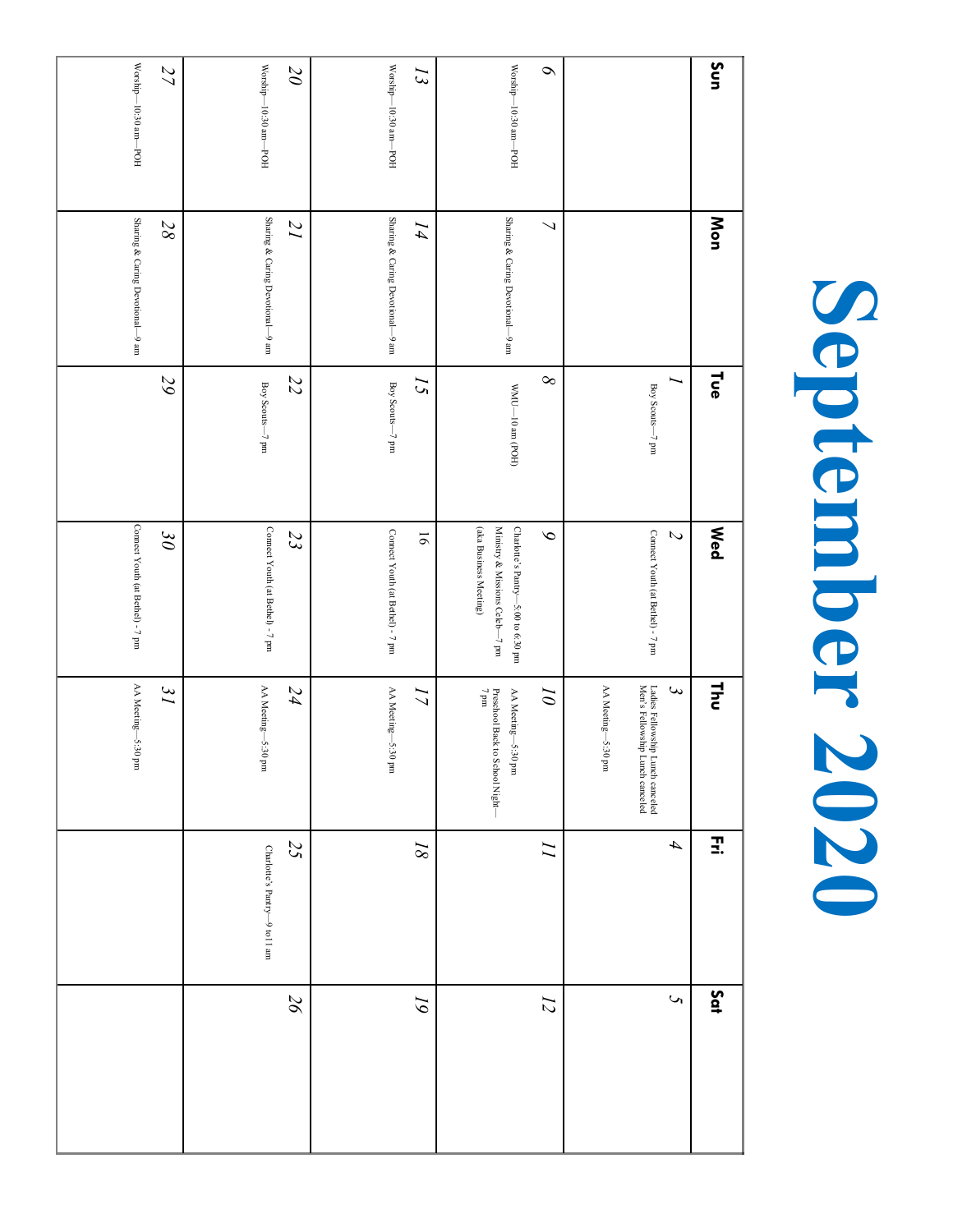### **Sun** Worship *27 20 6* Worship Worship Worship *13* 10:30 10:30 10:30 10:30 am—POH am—POH am—POH am—POH **Mon** Sharing & Caring Devotional *28* Sharing & Caring Devotional *21* Sharing & Caring Devotional *14* Sharing & Caring Devotional *7* 9 am 9 am 9 am 9 am **Tue** *29 8 22 15 1* Boy Scouts Boy Scouts  $MNM$ Boy Scouts 10 am (POH) 7 pm 7 pm  $\frac{1}{2}$ **Wed** Connect Youth (at Bethel) Connect Youth (at Bethel) (aka Business Meeting) (aka Business Meeting) Ministry & Missions Celeb Charlotte*9 2 30 23* Connect Youth (at Bethel) 16 Connect Youth (at Bethel) 's Pantry—5:00 to 6:30 pm uud  $\angle$  - $-7$  pm  $-7$  pm and  $\iota$  - $\frac{1}{2}$ **Thu** *31 24 3* AA Meeting AA Meeting *17* Preschool Back to School Night—  $7\,\mathrm{pm}$ *10* AA Meeting Men 'Ladies Fellowship Lunch canceled Preschool Back to School Night AA Meeting s Fellowship Lunch canceled 5:30 pm 5:30 pm 5:30 pm 5:30 pm 5:30 pm **Fri** *25 18 11 4* Charlotte's Pantry—9 to11 am **Sat** *26 5 19 12*

**September 2020**

September 2020